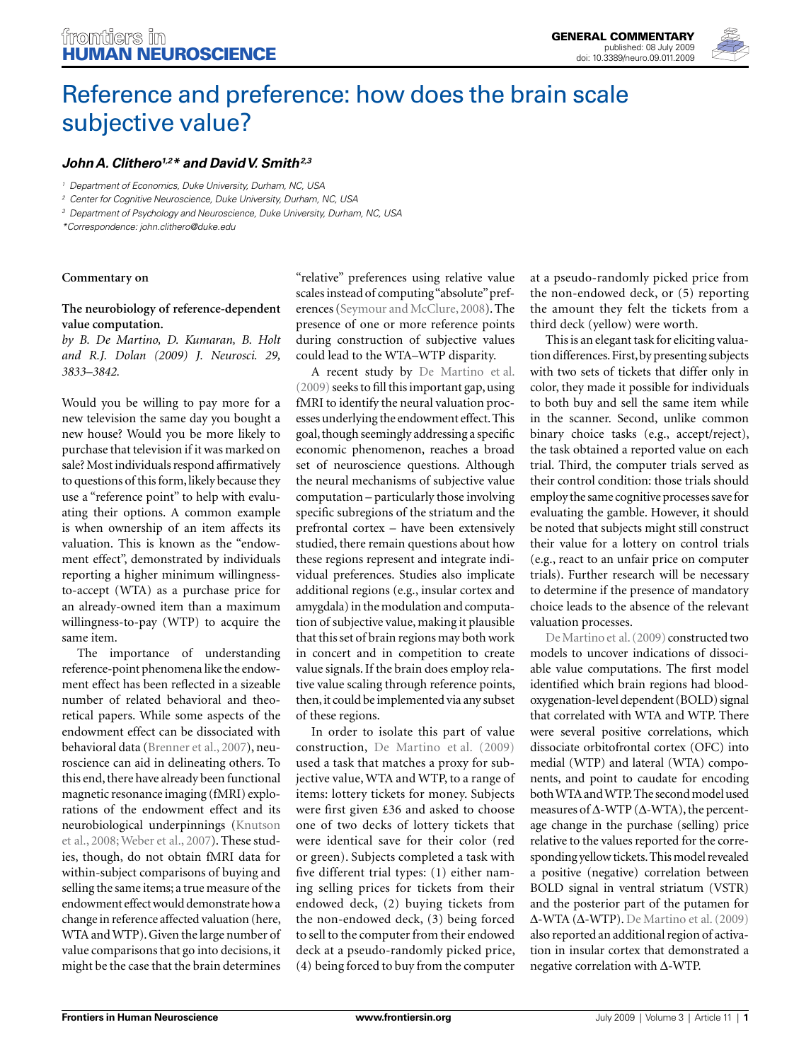

# Reference and preference: how does the brain scale subjective value?

# John A. Clithero<sup>1,2\*</sup> and David V. Smith<sup>2,3</sup>

*1 Department of Economics, Duke University, Durham, NC, USA*

*2 Center for Cognitive Neuroscience, Duke University, Durham, NC, USA*

*3 Department of Psychology and Neuroscience, Duke University, Durham, NC, USA*

*\*Correspondence: john.clithero@duke.edu*

#### **Commentary on**

## **The neurobiology of reference-dependent value computation.**

*by B. De Martino, D. Kumaran, B. Holt and R.J. Dolan (2009) J. Neurosci. 29, 3833–3842.*

Would you be willing to pay more for a new television the same day you bought a new house? Would you be more likely to purchase that television if it was marked on sale? Most individuals respond affirmatively to questions of this form, likely because they use a "reference point" to help with evaluating their options. A common example is when ownership of an item affects its valuation. This is known as the "endowment effect", demonstrated by individuals reporting a higher minimum willingnessto-accept (WTA) as a purchase price for an already-owned item than a maximum willingness-to-pay (WTP) to acquire the same item.

The importance of understanding reference-point phenomena like the endowment effect has been reflected in a sizeable number of related behavioral and theoretical papers. While some aspects of the endowment effect can be dissociated with behavioral data (Brenner et al., 2007), neuroscience can aid in delineating others. To this end, there have already been functional magnetic resonance imaging (fMRI) explorations of the endowment effect and its neurobiological underpinnings (Knutson et al., 2008; Weber et al., 2007). These studies, though, do not obtain fMRI data for within-subject comparisons of buying and selling the same items; a true measure of the endowment effect would demonstrate how a change in reference affected valuation (here, WTA and WTP). Given the large number of value comparisons that go into decisions, it might be the case that the brain determines

" relative" preferences using relative value scales instead of computing "absolute" preferences (Seymour and McClure, 2008). The presence of one or more reference points during construction of subjective values could lead to the WTA–WTP disparity.

A recent study by De Martino et al.  $(2009)$  seeks to fill this important gap, using fMRI to identify the neural valuation processes underlying the endowment effect. This goal, though seemingly addressing a specific economic phenomenon, reaches a broad set of neuroscience questions. Although the neural mechanisms of subjective value computation – particularly those involving specific subregions of the striatum and the prefrontal cortex – have been extensively studied, there remain questions about how these regions represent and integrate individual preferences. Studies also implicate additional regions (e.g., insular cortex and amygdala) in the modulation and computation of subjective value, making it plausible that this set of brain regions may both work in concert and in competition to create value signals. If the brain does employ relative value scaling through reference points, then, it could be implemented via any subset of these regions.

In order to isolate this part of value construction, De Martino et al. (2009) used a task that matches a proxy for subjective value, WTA and WTP, to a range of items: lottery tickets for money. Subjects were first given £36 and asked to choose one of two decks of lottery tickets that were identical save for their color (red or green). Subjects completed a task with five different trial types: (1) either naming selling prices for tickets from their endowed deck, (2) buying tickets from the non-endowed deck, (3) being forced to sell to the computer from their endowed deck at a pseudo-randomly picked price, (4) being forced to buy from the computer at a pseudo-randomly picked price from the non-endowed deck, or (5) reporting the amount they felt the tickets from a third deck (yellow) were worth.

This is an elegant task for eliciting valuation differences. First, by presenting subjects with two sets of tickets that differ only in color, they made it possible for individuals to both buy and sell the same item while in the scanner. Second, unlike common binary choice tasks (e.g., accept/reject), the task obtained a reported value on each trial. Third, the computer trials served as their control condition: those trials should employ the same cognitive processes save for evaluating the gamble. However, it should be noted that subjects might still construct their value for a lottery on control trials (e.g., react to an unfair price on computer trials). Further research will be necessary to determine if the presence of mandatory choice leads to the absence of the relevant valuation processes.

De Martino et al. (2009) constructed two models to uncover indications of dissociable value computations. The first model identified which brain regions had blood oxygenation-level dependent (BOLD) signal that correlated with WTA and WTP. There were several positive correlations, which dissociate orbitofrontal cortex (OFC) into medial (WTP) and lateral (WTA) components, and point to caudate for encoding both WTA and WTP. The second model used measures of  $\Delta$ -WTP ( $\Delta$ -WTA), the percentage change in the purchase (selling) price relative to the values reported for the corresponding yellow tickets. This model revealed a positive (negative) correlation between BOLD signal in ventral striatum (VSTR) and the posterior part of the putamen for  $Δ-WTA(Δ-WTP)$ . De Martino et al. (2009) also reported an additional region of activation in insular cortex that demonstrated a negative correlation with Δ-WTP.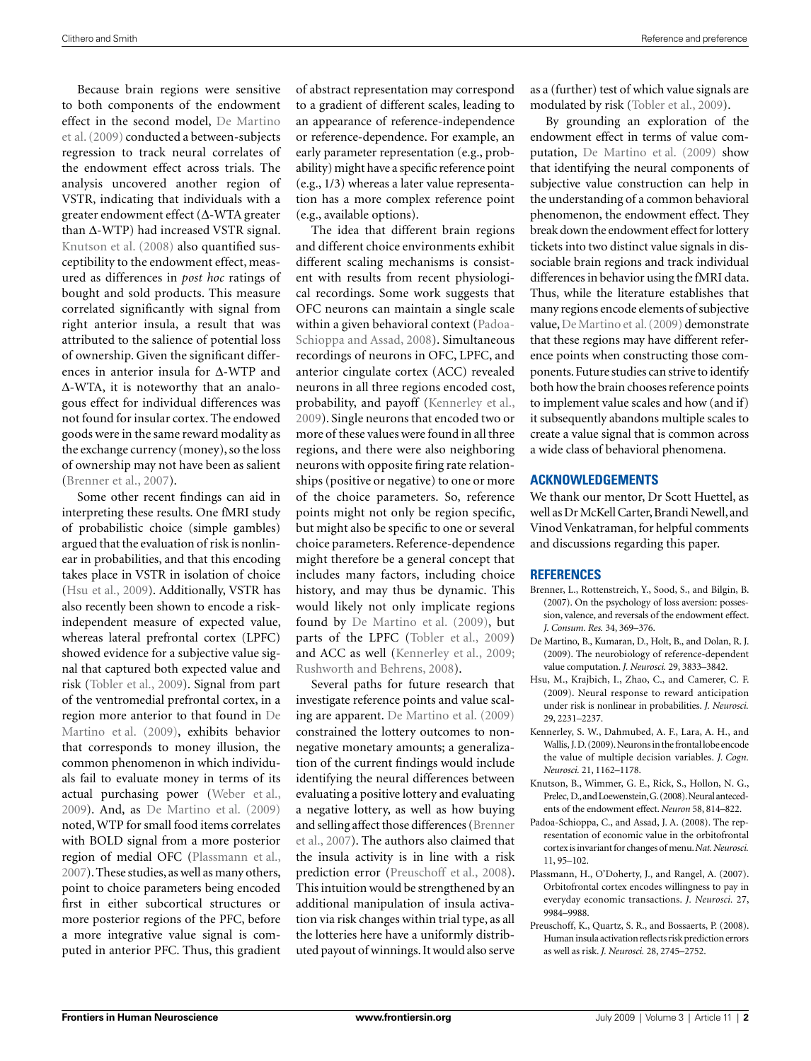Because brain regions were sensitive to both components of the endowment effect in the second model, De Martino et al. (2009) conducted a between- subjects regression to track neural correlates of the endowment effect across trials. The analysis uncovered another region of VSTR, indicating that individuals with a greater endowment effect (Δ-WTA greater than Δ-WTP) had increased VSTR signal. Knutson et al. (2008) also quantified susceptibility to the endowment effect, measured as differences in *post hoc* ratings of bought and sold products. This measure correlated significantly with signal from right anterior insula, a result that was attributed to the salience of potential loss of ownership. Given the significant differences in anterior insula for Δ-WTP and Δ-WTA, it is noteworthy that an analogous effect for individual differences was not found for insular cortex. The endowed goods were in the same reward modality as the exchange currency (money), so the loss of ownership may not have been as salient (Brenner et al., 2007).

Some other recent findings can aid in interpreting these results. One fMRI study of probabilistic choice (simple gambles) argued that the evaluation of risk is nonlinear in probabilities, and that this encoding takes place in VSTR in isolation of choice (Hsu et al., 2009). Additionally, VSTR has also recently been shown to encode a riskindependent measure of expected value, whereas lateral prefrontal cortex (LPFC) showed evidence for a subjective value signal that captured both expected value and risk (Tobler et al., 2009). Signal from part of the ventromedial prefrontal cortex, in a region more anterior to that found in De Martino et al. (2009), exhibits behavior that corresponds to money illusion, the common phenomenon in which individuals fail to evaluate money in terms of its actual purchasing power (Weber et al., 2009). And, as De Martino et al. (2009) noted, WTP for small food items correlates with BOLD signal from a more posterior region of medial OFC (Plassmann et al., 2007). These studies, as well as many others, point to choice parameters being encoded first in either subcortical structures or more posterior regions of the PFC, before a more integrative value signal is computed in anterior PFC. Thus, this gradient

of abstract representation may correspond to a gradient of different scales, leading to an appearance of reference-independence or reference-dependence. For example, an early parameter representation (e.g., probability) might have a specific reference point (e.g., 1/3) whereas a later value representation has a more complex reference point (e.g., available options).

The idea that different brain regions and different choice environments exhibit different scaling mechanisms is consistent with results from recent physiological recordings. Some work suggests that OFC neurons can maintain a single scale within a given behavioral context (Padoa-Schioppa and Assad, 2008). Simultaneous recordings of neurons in OFC, LPFC, and anterior cingulate cortex (ACC) revealed neurons in all three regions encoded cost, probability, and payoff (Kennerley et al., 2009). Single neurons that encoded two or more of these values were found in all three regions, and there were also neighboring neurons with opposite firing rate relationships (positive or negative) to one or more of the choice parameters. So, reference points might not only be region specific, but might also be specific to one or several choice parameters. Reference-dependence might therefore be a general concept that includes many factors, including choice history, and may thus be dynamic. This would likely not only implicate regions found by De Martino et al. (2009), but parts of the LPFC (Tobler et al., 2009) and ACC as well (Kennerley et al., 2009; Rushworth and Behrens, 2008).

Several paths for future research that investigate reference points and value scaling are apparent. De Martino et al. (2009) constrained the lottery outcomes to nonnegative monetary amounts; a generalization of the current findings would include identifying the neural differences between evaluating a positive lottery and evaluating a negative lottery, as well as how buying and selling affect those differences (Brenner et al., 2007). The authors also claimed that the insula activity is in line with a risk prediction error (Preuschoff et al., 2008). This intuition would be strengthened by an additional manipulation of insula activation via risk changes within trial type, as all the lotteries here have a uniformly distributed payout of winnings. It would also serve as a (further) test of which value signals are modulated by risk (Tobler et al., 2009).

By grounding an exploration of the endowment effect in terms of value computation, De Martino et al. (2009) show that identifying the neural components of subjective value construction can help in the understanding of a common behavioral phenomenon, the endowment effect. They break down the endowment effect for lottery tickets into two distinct value signals in dissociable brain regions and track individual differences in behavior using the fMRI data. Thus, while the literature establishes that many regions encode elements of subjective value, De Martino et al. (2009) demonstrate that these regions may have different reference points when constructing those components. Future studies can strive to identify both how the brain chooses reference points to implement value scales and how (and if) it subsequently abandons multiple scales to create a value signal that is common across a wide class of behavioral phenomena.

#### **ACKNOWLEDGEMENTS**

We thank our mentor, Dr Scott Huettel, as well as Dr McKell Carter, Brandi Newell, and Vinod Venkatraman, for helpful comments and discussions regarding this paper.

## **REFERENCES**

- Brenner, L., Rottenstreich, Y., Sood, S., and Bilgin, B. (2007). On the psychology of loss aversion: possession, valence, and reversals of the endowment effect. *J. Consum. Res.* 34, 369–376.
- De Martino, B., Kumaran, D., Holt, B., and Dolan, R. J. (2009). The neurobiology of reference-dependent value computation. *J. Neurosci.* 29, 3833–3842.
- Hsu, M., Krajbich, I., Zhao, C., and Camerer, C. F. (2009). Neural response to reward anticipation under risk is nonlinear in probabilities. *J. Neurosci.* 29, 2231–2237.
- Kennerley, S. W., Dahmubed, A. F., Lara, A. H., and Wallis, J. D. (2009). Neurons in the frontal lobe encode the value of multiple decision variables. *J. Cogn. Neurosci.* 21, 1162–1178.
- Knutson, B., Wimmer, G. E., Rick, S., Hollon, N. G., Prelec, D., and Loewenstein, G. (2008). Neural antecedents of the endowment effect. *Neuron* 58, 814–822.
- Padoa-Schioppa, C., and Assad, J. A. (2008). The representation of economic value in the orbitofrontal cortex is invariant for changes of menu. *Nat. Neurosci.* 11, 95–102.
- Plassmann, H., O'Doherty, J., and Rangel, A. (2007). Orbitofrontal cortex encodes willingness to pay in everyday economic transactions. *J. Neurosci.* 27, 9984–9988.
- Preuschoff, K., Quartz, S. R., and Bossaerts, P. (2008). Human insula activation reflects risk prediction errors as well as risk. *J. Neurosci.* 28, 2745–2752.